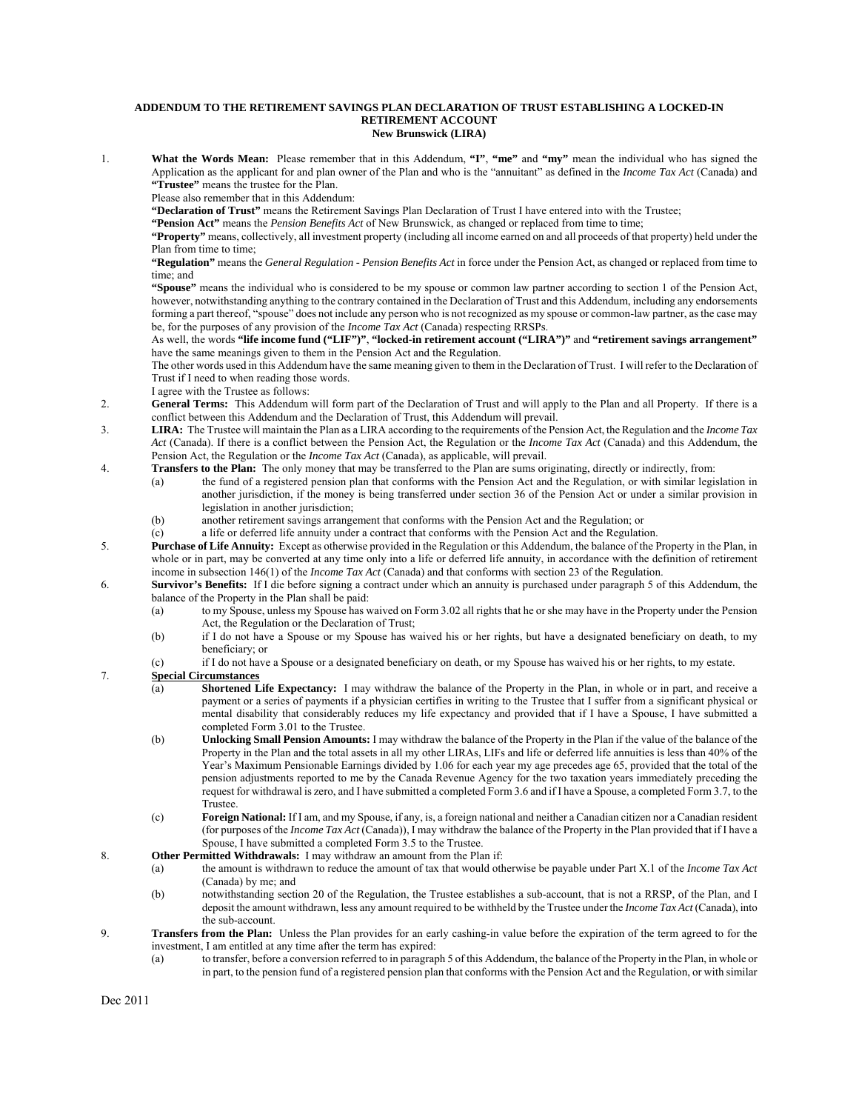## **ADDENDUM TO THE RETIREMENT SAVINGS PLAN DECLARATION OF TRUST ESTABLISHING A LOCKED-IN RETIREMENT ACCOUNT New Brunswick (LIRA)**

1. **What the Words Mean:** Please remember that in this Addendum, **"I"**, **"me"** and **"my"** mean the individual who has signed the Application as the applicant for and plan owner of the Plan and who is the "annuitant" as defined in the *Income Tax Act* (Canada) and **"Trustee"** means the trustee for the Plan.

Please also remember that in this Addendum:

**"Declaration of Trust"** means the Retirement Savings Plan Declaration of Trust I have entered into with the Trustee;

**"Pension Act"** means the *Pension Benefits Act* of New Brunswick, as changed or replaced from time to time;

**"Property"** means, collectively, all investment property (including all income earned on and all proceeds of that property) held under the Plan from time to time;

**"Regulation"** means the *General Regulation - Pension Benefits Act* in force under the Pension Act, as changed or replaced from time to time; and

**"Spouse"** means the individual who is considered to be my spouse or common law partner according to section 1 of the Pension Act, however, notwithstanding anything to the contrary contained in the Declaration of Trust and this Addendum, including any endorsements forming a part thereof, "spouse" does not include any person who is not recognized as my spouse or common-law partner, as the case may be, for the purposes of any provision of the *Income Tax Act* (Canada) respecting RRSPs.

As well, the words **"life income fund ("LIF")"**, **"locked-in retirement account ("LIRA")"** and **"retirement savings arrangement"** have the same meanings given to them in the Pension Act and the Regulation.

The other words used in this Addendum have the same meaning given to them in the Declaration of Trust. I will refer to the Declaration of Trust if I need to when reading those words.

I agree with the Trustee as follows:

- 2. **General Terms:** This Addendum will form part of the Declaration of Trust and will apply to the Plan and all Property. If there is a conflict between this Addendum and the Declaration of Trust, this Addendum will prevail.
- 3. **LIRA:** The Trustee will maintain the Plan as a LIRA according to the requirements of the Pension Act, the Regulation and the *Income Tax Act* (Canada). If there is a conflict between the Pension Act, the Regulation or the *Income Tax Act* (Canada) and this Addendum, the Pension Act, the Regulation or the *Income Tax Act* (Canada), as applicable, will prevail.
- 4. **Transfers to the Plan:** The only money that may be transferred to the Plan are sums originating, directly or indirectly, from:
	- (a) the fund of a registered pension plan that conforms with the Pension Act and the Regulation, or with similar legislation in another jurisdiction, if the money is being transferred under section 36 of the Pension Act or under a similar provision in legislation in another jurisdiction;
	- (b) another retirement savings arrangement that conforms with the Pension Act and the Regulation; or
	- (c) a life or deferred life annuity under a contract that conforms with the Pension Act and the Regulation.
- 5. **Purchase of Life Annuity:** Except as otherwise provided in the Regulation or this Addendum, the balance of the Property in the Plan, in whole or in part, may be converted at any time only into a life or deferred life annuity, in accordance with the definition of retirement income in subsection 146(1) of the *Income Tax Act* (Canada) and that conforms with section 23 of the Regulation.
- 6. **Survivor's Benefits:** If I die before signing a contract under which an annuity is purchased under paragraph 5 of this Addendum, the balance of the Property in the Plan shall be paid:
	- (a) to my Spouse, unless my Spouse has waived on Form 3.02 all rights that he or she may have in the Property under the Pension Act, the Regulation or the Declaration of Trust;
	- (b) if I do not have a Spouse or my Spouse has waived his or her rights, but have a designated beneficiary on death, to my beneficiary; or
	- (c) if I do not have a Spouse or a designated beneficiary on death, or my Spouse has waived his or her rights, to my estate.

## 7. **Special Circumstances**

- (a) **Shortened Life Expectancy:** I may withdraw the balance of the Property in the Plan, in whole or in part, and receive a payment or a series of payments if a physician certifies in writing to the Trustee that I suffer from a significant physical or mental disability that considerably reduces my life expectancy and provided that if I have a Spouse, I have submitted a completed Form 3.01 to the Trustee.
- (b) **Unlocking Small Pension Amounts:** I may withdraw the balance of the Property in the Plan if the value of the balance of the Property in the Plan and the total assets in all my other LIRAs, LIFs and life or deferred life annuities is less than 40% of the Year's Maximum Pensionable Earnings divided by 1.06 for each year my age precedes age 65, provided that the total of the pension adjustments reported to me by the Canada Revenue Agency for the two taxation years immediately preceding the request for withdrawal is zero, and I have submitted a completed Form 3.6 and if I have a Spouse, a completed Form 3.7, to the Trustee.
- (c) **Foreign National:** If I am, and my Spouse, if any, is, a foreign national and neither a Canadian citizen nor a Canadian resident (for purposes of the *Income Tax Act* (Canada)), I may withdraw the balance of the Property in the Plan provided that if I have a Spouse, I have submitted a completed Form 3.5 to the Trustee.

## 8. **Other Permitted Withdrawals:** I may withdraw an amount from the Plan if:

- (a) the amount is withdrawn to reduce the amount of tax that would otherwise be payable under Part X.1 of the *Income Tax Act* (Canada) by me; and
- (b) notwithstanding section 20 of the Regulation, the Trustee establishes a sub-account, that is not a RRSP, of the Plan, and I deposit the amount withdrawn, less any amount required to be withheld by the Trustee under the *Income Tax Act* (Canada), into the sub-account.
- 9. **Transfers from the Plan:** Unless the Plan provides for an early cashing-in value before the expiration of the term agreed to for the investment, I am entitled at any time after the term has expired:
	- (a) to transfer, before a conversion referred to in paragraph 5 of this Addendum, the balance of the Property in the Plan, in whole or in part, to the pension fund of a registered pension plan that conforms with the Pension Act and the Regulation, or with similar

Dec 2011